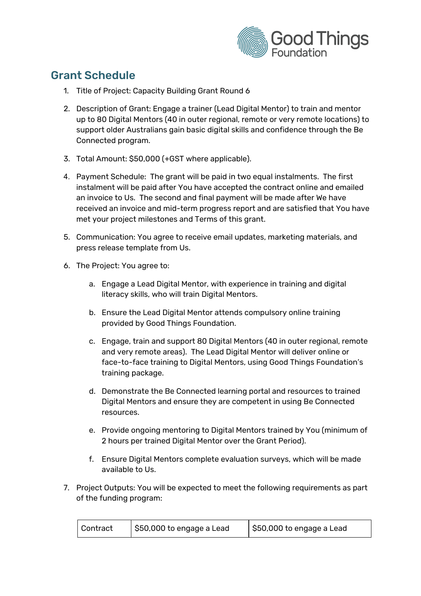

# Grant Schedule

- 1. Title of Project: Capacity Building Grant Round 6
- 2. Description of Grant: Engage a trainer (Lead Digital Mentor) to train and mentor up to 80 Digital Mentors (40 in outer regional, remote or very remote locations) to support older Australians gain basic digital skills and confidence through the Be Connected program.
- 3. Total Amount: \$50,000 (+GST where applicable).
- 4. Payment Schedule: The grant will be paid in two equal instalments. The first instalment will be paid after You have accepted the contract online and emailed an invoice to Us. The second and final payment will be made after We have received an invoice and mid-term progress report and are satisfied that You have met your project milestones and Terms of this grant.
- 5. Communication: You agree to receive email updates, marketing materials, and press release template from Us.
- 6. The Project: You agree to:
	- a. Engage a Lead Digital Mentor, with experience in training and digital literacy skills, who will train Digital Mentors.
	- b. Ensure the Lead Digital Mentor attends compulsory online training provided by Good Things Foundation.
	- c. Engage, train and support 80 Digital Mentors (40 in outer regional, remote and very remote areas). The Lead Digital Mentor will deliver online or face-to-face training to Digital Mentors, using Good Things Foundation's training package.
	- d. Demonstrate the Be Connected learning portal and resources to trained Digital Mentors and ensure they are competent in using Be Connected resources.
	- e. Provide ongoing mentoring to Digital Mentors trained by You (minimum of 2 hours per trained Digital Mentor over the Grant Period).
	- f. Ensure Digital Mentors complete evaluation surveys, which will be made available to Us.
- 7. Project Outputs: You will be expected to meet the following requirements as part of the funding program:

| Contract | \$50,000 to engage a Lead | \$50,000 to engage a Lead |
|----------|---------------------------|---------------------------|
|----------|---------------------------|---------------------------|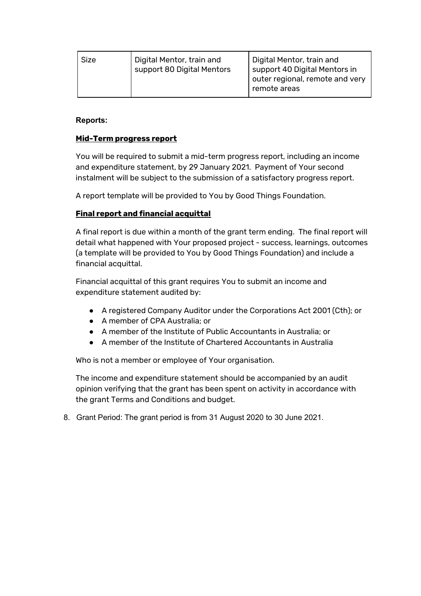| Size | Digital Mentor, train and<br>support 80 Digital Mentors | Digital Mentor, train and<br>support 40 Digital Mentors in<br>outer regional, remote and very<br>remote areas |
|------|---------------------------------------------------------|---------------------------------------------------------------------------------------------------------------|
|      |                                                         |                                                                                                               |

# **Reports:**

# **Mid-Term progress report**

You will be required to submit a mid-term progress report, including an income and expenditure statement, by 29 January 2021. Payment of Your second instalment will be subject to the submission of a satisfactory progress report.

A report template will be provided to You by Good Things Foundation.

# **Final report and financial acquittal**

A final report is due within a month of the grant term ending. The final report will detail what happened with Your proposed project - success, learnings, outcomes (a template will be provided to You by Good Things Foundation) and include a financial acquittal.

Financial acquittal of this grant requires You to submit an income and expenditure statement audited by:

- A registered Company Auditor under the Corporations Act 2001 (Cth); or
- A member of CPA Australia; or
- A member of the Institute of Public Accountants in Australia; or
- A member of the Institute of Chartered Accountants in Australia

Who is not a member or employee of Your organisation.

The income and expenditure statement should be accompanied by an audit opinion verifying that the grant has been spent on activity in accordance with the grant Terms and Conditions and budget.

8. Grant Period: The grant period is from 31 August 2020 to 30 June 2021.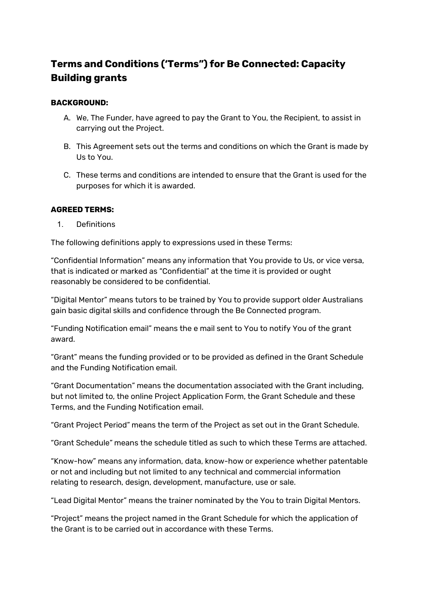# **Terms and Conditions ('Terms") for Be Connected: Capacity Building grants**

# **BACKGROUND:**

- A. We, The Funder, have agreed to pay the Grant to You, the Recipient, to assist in carrying out the Project.
- B. This Agreement sets out the terms and conditions on which the Grant is made by Us to You.
- C. These terms and conditions are intended to ensure that the Grant is used for the purposes for which it is awarded.

#### **AGREED TERMS:**

1. Definitions

The following definitions apply to expressions used in these Terms:

"Confidential Information" means any information that You provide to Us, or vice versa, that is indicated or marked as "Confidential" at the time it is provided or ought reasonably be considered to be confidential.

"Digital Mentor" means tutors to be trained by You to provide support older Australians gain basic digital skills and confidence through the Be Connected program.

"Funding Notification email" means the e mail sent to You to notify You of the grant award.

"Grant" means the funding provided or to be provided as defined in the Grant Schedule and the Funding Notification email.

"Grant Documentation" means the documentation associated with the Grant including, but not limited to, the online Project Application Form, the Grant Schedule and these Terms, and the Funding Notification email.

"Grant Project Period" means the term of the Project as set out in the Grant Schedule.

"Grant Schedule" means the schedule titled as such to which these Terms are attached.

"Know-how" means any information, data, know-how or experience whether patentable or not and including but not limited to any technical and commercial information relating to research, design, development, manufacture, use or sale.

"Lead Digital Mentor" means the trainer nominated by the You to train Digital Mentors.

"Project" means the project named in the Grant Schedule for which the application of the Grant is to be carried out in accordance with these Terms.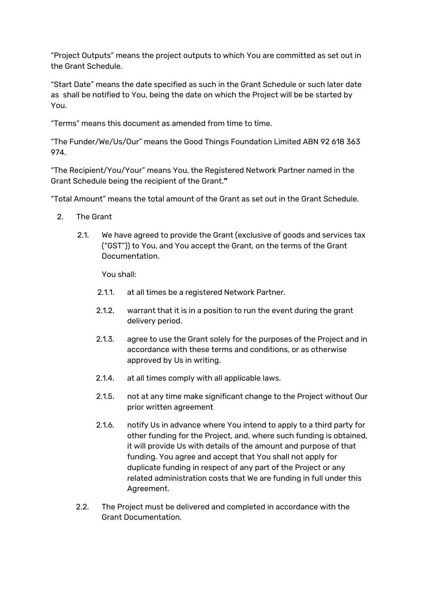"Project Outputs" means the project outputs to which You are committed as set out in the Grant Schedule.

"Start Date" means the date specified as such in the Grant Schedule or such later date as shall be notified to You, being the date on which the Project will be be started by You.

"Terms" means this document as amended from time to time.

"The Funder/We/Us/Our" means the Good Things Foundation Limited ABN 92 618 363 974.

"The Recipient/You/Your" means You, the Registered Network Partner named in the Grant Schedule being the recipient of the Grant.**"**

"Total Amount" means the total amount of the Grant as set out in the Grant Schedule.

- 2. The Grant
	- 2.1. We have agreed to provide the Grant (exclusive of goods and services tax ("GST")) to You, and You accept the Grant, on the terms of the Grant Documentation.

You shall:

- 2.1.1. at all times be a registered Network Partner.
- 2.1.2. warrant that it is in a position to run the event during the grant delivery period.
- 2.1.3. agree to use the Grant solely for the purposes of the Project and in accordance with these terms and conditions, or as otherwise approved by Us in writing.
- 2.1.4. at all times comply with all applicable laws.
- 2.1.5. not at any time make significant change to the Project without Our prior written agreement
- 2.1.6. notify Us in advance where You intend to apply to a third party for other funding for the Project, and, where such funding is obtained, it will provide Us with details of the amount and purpose of that funding. You agree and accept that You shall not apply for duplicate funding in respect of any part of the Project or any related administration costs that We are funding in full under this Agreement.
- 2.2. The Project must be delivered and completed in accordance with the Grant Documentation.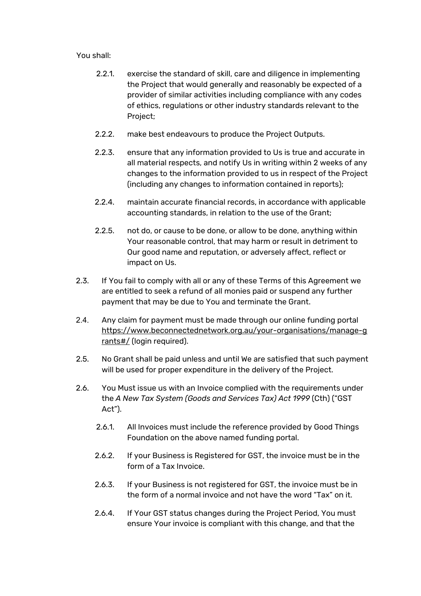You shall:

- 2.2.1. exercise the standard of skill, care and diligence in implementing the Project that would generally and reasonably be expected of a provider of similar activities including compliance with any codes of ethics, regulations or other industry standards relevant to the Project;
- 2.2.2. make best endeavours to produce the Project Outputs.
- 2.2.3. ensure that any information provided to Us is true and accurate in all material respects, and notify Us in writing within 2 weeks of any changes to the information provided to us in respect of the Project (including any changes to information contained in reports);
- 2.2.4. maintain accurate financial records, in accordance with applicable accounting standards, in relation to the use of the Grant;
- 2.2.5. not do, or cause to be done, or allow to be done, anything within Your reasonable control, that may harm or result in detriment to Our good name and reputation, or adversely affect, reflect or impact on Us.
- 2.3. If You fail to comply with all or any of these Terms of this Agreement we are entitled to seek a refund of all monies paid or suspend any further payment that may be due to You and terminate the Grant.
- 2.4. Any claim for payment must be made through our online funding portal [https://www.beconnectednetwork.org.au/your-organisations/manage-g](https://www.beconnectednetwork.org.au/your-organisations/manage-grants#/) [rants#/](https://www.beconnectednetwork.org.au/your-organisations/manage-grants#/) (login required).
- 2.5. No Grant shall be paid unless and until We are satisfied that such payment will be used for proper expenditure in the delivery of the Project.
- 2.6. You Must issue us with an Invoice complied with the requirements under the *A New Tax System (Goods and Services Tax) Act 1999* (Cth) ("GST Act").
	- 2.6.1. All Invoices must include the reference provided by Good Things Foundation on the above named funding portal.
	- 2.6.2. If your Business is Registered for GST, the invoice must be in the form of a Tax Invoice.
	- 2.6.3. If your Business is not registered for GST, the invoice must be in the form of a normal invoice and not have the word "Tax" on it.
	- 2.6.4. If Your GST status changes during the Project Period, You must ensure Your invoice is compliant with this change, and that the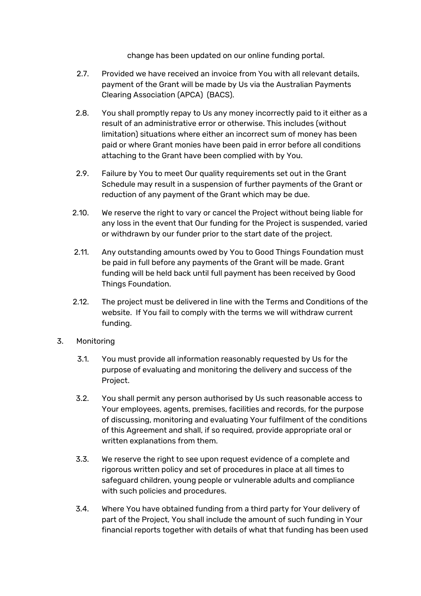change has been updated on our online funding portal.

- 2.7. Provided we have received an invoice from You with all relevant details, payment of the Grant will be made by Us via the Australian Payments Clearing Association (APCA) (BACS).
- 2.8. You shall promptly repay to Us any money incorrectly paid to it either as a result of an administrative error or otherwise. This includes (without limitation) situations where either an incorrect sum of money has been paid or where Grant monies have been paid in error before all conditions attaching to the Grant have been complied with by You.
- 2.9. Failure by You to meet Our quality requirements set out in the Grant Schedule may result in a suspension of further payments of the Grant or reduction of any payment of the Grant which may be due.
- 2.10. We reserve the right to vary or cancel the Project without being liable for any loss in the event that Our funding for the Project is suspended, varied or withdrawn by our funder prior to the start date of the project.
- 2.11. Any outstanding amounts owed by You to Good Things Foundation must be paid in full before any payments of the Grant will be made. Grant funding will be held back until full payment has been received by Good Things Foundation.
- 2.12. The project must be delivered in line with the Terms and Conditions of the website. If You fail to comply with the terms we will withdraw current funding.
- 3. Monitoring
	- 3.1. You must provide all information reasonably requested by Us for the purpose of evaluating and monitoring the delivery and success of the Project.
	- 3.2. You shall permit any person authorised by Us such reasonable access to Your employees, agents, premises, facilities and records, for the purpose of discussing, monitoring and evaluating Your fulfilment of the conditions of this Agreement and shall, if so required, provide appropriate oral or written explanations from them.
	- 3.3. We reserve the right to see upon request evidence of a complete and rigorous written policy and set of procedures in place at all times to safeguard children, young people or vulnerable adults and compliance with such policies and procedures.
	- 3.4. Where You have obtained funding from a third party for Your delivery of part of the Project, You shall include the amount of such funding in Your financial reports together with details of what that funding has been used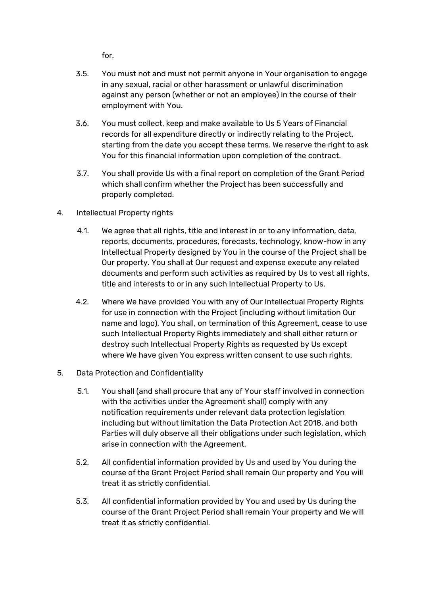for.

- 3.5. You must not and must not permit anyone in Your organisation to engage in any sexual, racial or other harassment or unlawful discrimination against any person (whether or not an employee) in the course of their employment with You.
- 3.6. You must collect, keep and make available to Us 5 Years of Financial records for all expenditure directly or indirectly relating to the Project, starting from the date you accept these terms. We reserve the right to ask You for this financial information upon completion of the contract.
- 3.7. You shall provide Us with a final report on completion of the Grant Period which shall confirm whether the Project has been successfully and properly completed.
- 4. Intellectual Property rights
	- 4.1. We agree that all rights, title and interest in or to any information, data, reports, documents, procedures, forecasts, technology, know-how in any Intellectual Property designed by You in the course of the Project shall be Our property. You shall at Our request and expense execute any related documents and perform such activities as required by Us to vest all rights, title and interests to or in any such Intellectual Property to Us.
	- 4.2. Where We have provided You with any of Our Intellectual Property Rights for use in connection with the Project (including without limitation Our name and logo), You shall, on termination of this Agreement, cease to use such Intellectual Property Rights immediately and shall either return or destroy such Intellectual Property Rights as requested by Us except where We have given You express written consent to use such rights.
- 5. Data Protection and Confidentiality
	- 5.1. You shall (and shall procure that any of Your staff involved in connection with the activities under the Agreement shall) comply with any notification requirements under relevant data protection legislation including but without limitation the Data Protection Act 2018, and both Parties will duly observe all their obligations under such legislation, which arise in connection with the Agreement.
	- 5.2. All confidential information provided by Us and used by You during the course of the Grant Project Period shall remain Our property and You will treat it as strictly confidential.
	- 5.3. All confidential information provided by You and used by Us during the course of the Grant Project Period shall remain Your property and We will treat it as strictly confidential.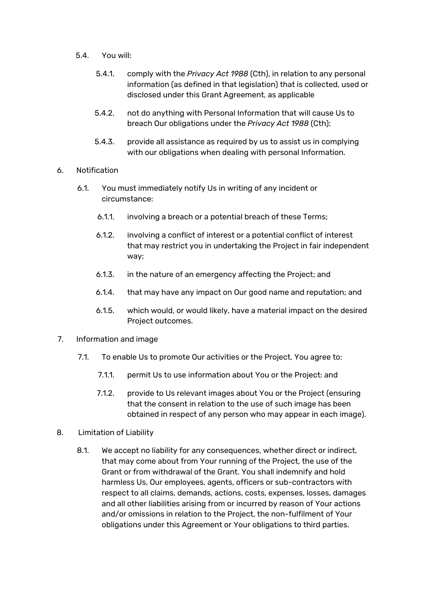- 5.4. You will:
	- 5.4.1. comply with the *Privacy Act 1988* (Cth), in relation to any personal information (as defined in that legislation) that is collected, used or disclosed under this Grant Agreement, as applicable
	- 5.4.2. not do anything with Personal Information that will cause Us to breach Our obligations under the *Privacy Act 1988* (Cth);
	- 5.4.3. provide all assistance as required by us to assist us in complying with our obligations when dealing with personal Information.
- 6. Notification
	- 6.1. You must immediately notify Us in writing of any incident or circumstance:
		- 6.1.1. involving a breach or a potential breach of these Terms;
		- 6.1.2. involving a conflict of interest or a potential conflict of interest that may restrict you in undertaking the Project in fair independent way;
		- 6.1.3. in the nature of an emergency affecting the Project; and
		- 6.1.4. that may have any impact on Our good name and reputation; and
		- 6.1.5. which would, or would likely, have a material impact on the desired Project outcomes.
- 7. Information and image
	- 7.1. To enable Us to promote Our activities or the Project, You agree to:
		- 7.1.1. permit Us to use information about You or the Project: and
		- 7.1.2. provide to Us relevant images about You or the Project (ensuring that the consent in relation to the use of such image has been obtained in respect of any person who may appear in each image).
- 8. Limitation of Liability
	- 8.1. We accept no liability for any consequences, whether direct or indirect, that may come about from Your running of the Project, the use of the Grant or from withdrawal of the Grant. You shall indemnify and hold harmless Us, Our employees, agents, officers or sub-contractors with respect to all claims, demands, actions, costs, expenses, losses, damages and all other liabilities arising from or incurred by reason of Your actions and/or omissions in relation to the Project, the non-fulfilment of Your obligations under this Agreement or Your obligations to third parties.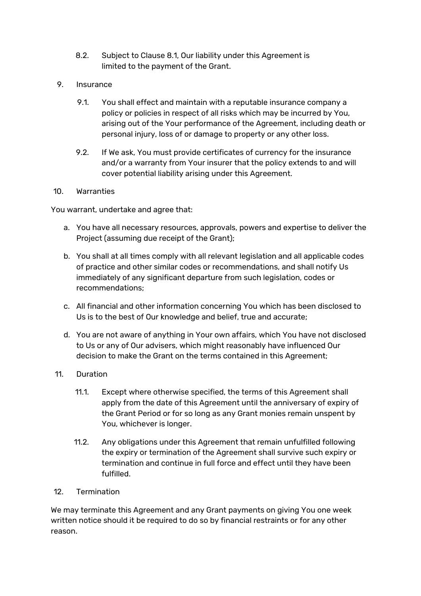- 8.2. Subject to Clause 8.1, Our liability under this Agreement is limited to the payment of the Grant.
- 9. Insurance
	- 9.1. You shall effect and maintain with a reputable insurance company a policy or policies in respect of all risks which may be incurred by You, arising out of the Your performance of the Agreement, including death or personal injury, loss of or damage to property or any other loss.
	- 9.2. If We ask, You must provide certificates of currency for the insurance and/or a warranty from Your insurer that the policy extends to and will cover potential liability arising under this Agreement.

#### 10. Warranties

You warrant, undertake and agree that:

- a. You have all necessary resources, approvals, powers and expertise to deliver the Project (assuming due receipt of the Grant);
- b. You shall at all times comply with all relevant legislation and all applicable codes of practice and other similar codes or recommendations, and shall notify Us immediately of any significant departure from such legislation, codes or recommendations;
- c. All financial and other information concerning You which has been disclosed to Us is to the best of Our knowledge and belief, true and accurate;
- d. You are not aware of anything in Your own affairs, which You have not disclosed to Us or any of Our advisers, which might reasonably have influenced Our decision to make the Grant on the terms contained in this Agreement;
- 11. Duration
	- 11.1. Except where otherwise specified, the terms of this Agreement shall apply from the date of this Agreement until the anniversary of expiry of the Grant Period or for so long as any Grant monies remain unspent by You, whichever is longer.
	- 11.2. Any obligations under this Agreement that remain unfulfilled following the expiry or termination of the Agreement shall survive such expiry or termination and continue in full force and effect until they have been fulfilled.
- 12. Termination

We may terminate this Agreement and any Grant payments on giving You one week written notice should it be required to do so by financial restraints or for any other reason.